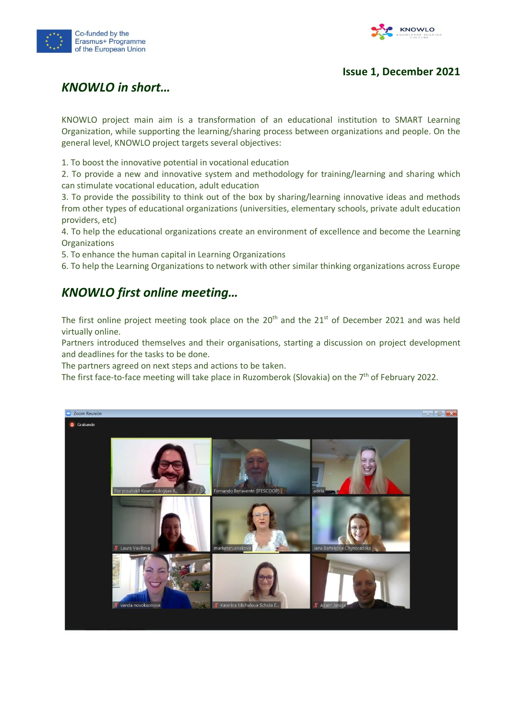



#### **Issue 1, December 2021**

## *KNOWLO in short…*

KNOWLO project main aim is a transformation of an educational institution to SMART Learning Organization, while supporting the learning/sharing process between organizations and people. On the general level, KNOWLO project targets several objectives:

1. To boost the innovative potential in vocational education

2. To provide a new and innovative system and methodology for training/learning and sharing which can stimulate vocational education, adult education

3. To provide the possibility to think out of the box by sharing/learning innovative ideas and methods from other types of educational organizations (universities, elementary schools, private adult education providers, etc)

4. To help the educational organizations create an environment of excellence and become the Learning **Organizations** 

5. To enhance the human capital in Learning Organizations

6. To help the Learning Organizations to network with other similar thinking organizations across Europe

### *KNOWLO first online meeting…*

The first online project meeting took place on the  $20<sup>th</sup>$  and the  $21<sup>st</sup>$  of December 2021 and was held virtually online.

Partners introduced themselves and their organisations, starting a discussion on project development and deadlines for the tasks to be done.

The partners agreed on next steps and actions to be taken.

The first face-to-face meeting will take place in Ruzomberok (Slovakia) on the  $7<sup>th</sup>$  of February 2022.